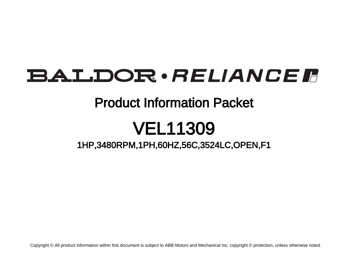### BALDOR · RELIANCE F

### Product Information Packet

## VEL11309

1HP,3480RPM,1PH,60HZ,56C,3524LC,OPEN,F1

Copyright © All product information within this document is subject to ABB Motors and Mechanical Inc. copyright © protection, unless otherwise noted.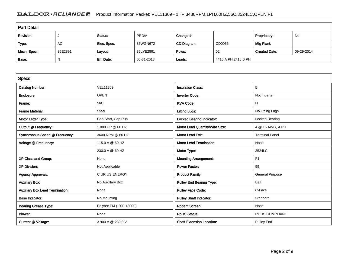#### BALDOR · RELIANCE F Product Information Packet: VEL11309 - 1HP,3480RPM,1PH,60HZ,56C,3524LC,OPEN,F1

| <b>Part Detail</b> |         |             |            |             |                     |                      |            |
|--------------------|---------|-------------|------------|-------------|---------------------|----------------------|------------|
| Revision:          |         | Status:     | PRD/A      | Change #:   |                     | Proprietary:         | No         |
| Type:              | AC      | Elec. Spec: | 35WGN672   | CD Diagram: | CD0055              | Mfg Plant:           |            |
| Mech. Spec:        | 35E2891 | Layout:     | 35LYE2891  | Poles:      | -02                 | <b>Created Date:</b> | 09-29-2014 |
| Base:              | N       | Eff. Date:  | 05-31-2018 | Leads:      | 4#16 A PH,2#18 B PH |                      |            |

| <b>Specs</b>                           |                         |                                  |                        |
|----------------------------------------|-------------------------|----------------------------------|------------------------|
| <b>Catalog Number:</b>                 | <b>VEL11309</b>         | <b>Insulation Class:</b>         | В                      |
| Enclosure:                             | <b>OPEN</b>             | <b>Inverter Code:</b>            | Not Inverter           |
| Frame:                                 | 56C                     | <b>KVA Code:</b>                 | H                      |
| <b>Frame Material:</b>                 | Steel                   | <b>Lifting Lugs:</b>             | No Lifting Lugs        |
| Motor Letter Type:                     | Cap Start, Cap Run      | <b>Locked Bearing Indicator:</b> | Locked Bearing         |
| Output @ Frequency:                    | 1.000 HP @ 60 HZ        | Motor Lead Quantity/Wire Size:   | 4 @ 16 AWG, A PH       |
| Synchronous Speed @ Frequency:         | 3600 RPM @ 60 HZ        | <b>Motor Lead Exit:</b>          | <b>Terminal Panel</b>  |
| Voltage @ Frequency:                   | 115.0 V @ 60 HZ         | <b>Motor Lead Termination:</b>   | None                   |
|                                        | 230.0 V @ 60 HZ         | Motor Type:                      | 3524LC                 |
| XP Class and Group:                    | None                    | <b>Mounting Arrangement:</b>     | F1                     |
| <b>XP Division:</b>                    | Not Applicable          | <b>Power Factor:</b>             | 99                     |
| <b>Agency Approvals:</b>               | <b>CURUS ENERGY</b>     | <b>Product Family:</b>           | <b>General Purpose</b> |
| <b>Auxillary Box:</b>                  | No Auxillary Box        | <b>Pulley End Bearing Type:</b>  | Ball                   |
| <b>Auxillary Box Lead Termination:</b> | None                    | <b>Pulley Face Code:</b>         | C-Face                 |
| <b>Base Indicator:</b>                 | No Mounting             | <b>Pulley Shaft Indicator:</b>   | Standard               |
| <b>Bearing Grease Type:</b>            | Polyrex EM (-20F +300F) | <b>Rodent Screen:</b>            | None                   |
| <b>Blower:</b>                         | None                    | <b>RoHS Status:</b>              | <b>ROHS COMPLIANT</b>  |
| Current @ Voltage:                     | 3.900 A @ 230.0 V       | <b>Shaft Extension Location:</b> | Pulley End             |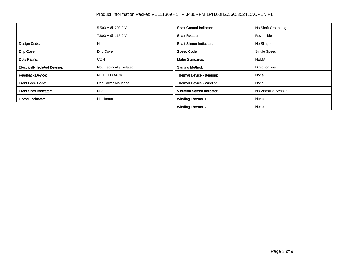|                                       | 5.500 A @ 208.0 V          | <b>Shaft Ground Indicator:</b>     | No Shaft Grounding  |
|---------------------------------------|----------------------------|------------------------------------|---------------------|
|                                       | 7.800 A @ 115.0 V          | <b>Shaft Rotation:</b>             | Reversible          |
| Design Code:                          | N                          | <b>Shaft Slinger Indicator:</b>    | No Slinger          |
| Drip Cover:                           | Drip Cover                 | <b>Speed Code:</b>                 | Single Speed        |
| Duty Rating:                          | <b>CONT</b>                | <b>Motor Standards:</b>            | <b>NEMA</b>         |
| <b>Electrically Isolated Bearing:</b> | Not Electrically Isolated  | <b>Starting Method:</b>            | Direct on line      |
| <b>Feedback Device:</b>               | NO FEEDBACK                | Thermal Device - Bearing:          | None                |
| <b>Front Face Code:</b>               | <b>Drip Cover Mounting</b> | Thermal Device - Winding:          | None                |
| <b>Front Shaft Indicator:</b>         | None                       | <b>Vibration Sensor Indicator:</b> | No Vibration Sensor |
| <b>Heater Indicator:</b>              | No Heater                  | <b>Winding Thermal 1:</b>          | None                |
|                                       |                            | <b>Winding Thermal 2:</b>          | None                |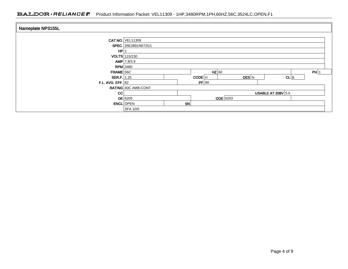#### BALDOR · RELIANCE F Product Information Packet: VEL11309 - 1HP,3480RPM,1PH,60HZ,56C,3524LC,OPEN,F1

| Nameplate NP3155L              |                                |    |                                              |       |          |      |
|--------------------------------|--------------------------------|----|----------------------------------------------|-------|----------|------|
|                                | <b>CAT.NO. VEL11309</b>        |    |                                              |       |          |      |
| HP                             | SPEC. 35E2891N672G1            |    |                                              |       |          |      |
|                                | VOLTS 115/230<br>$AMP$ 7.8/3.9 |    |                                              |       |          |      |
| <b>RPM</b> 3480<br>$FRAME$ 56C |                                |    | $HZ$ 60                                      |       |          | PH 1 |
| <b>SER.F.</b> 1.25             |                                |    | CODE <sup>H</sup>                            | DES N | $CL$ $B$ |      |
| F.L. AVG. EFF. $ 82 $          | RATING 40C AMB-CONT            |    | PF 99                                        |       |          |      |
| cc                             | $DE$ 6205                      |    | <b>USABLE AT 208V 5.5</b><br><b>ODE</b> 6203 |       |          |      |
|                                | <b>ENCL</b> OPEN<br>SFA 10/5   | SN |                                              |       |          |      |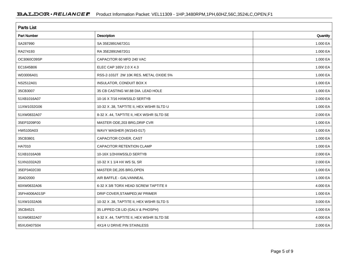| <b>Parts List</b>  |                                          |          |  |  |
|--------------------|------------------------------------------|----------|--|--|
| <b>Part Number</b> | Description                              | Quantity |  |  |
| SA287990           | SA 35E2891N672G1                         | 1.000 EA |  |  |
| RA274193           | RA 35E2891N672G1                         | 1.000 EA |  |  |
| OC3060C09SP        | CAPACITOR 60 MFD 240 VAC                 | 1.000 EA |  |  |
| EC1645B06          | ELEC CAP 165V 2.0 X 4.3                  | 1.000 EA |  |  |
| WD3006A01          | RSS-2-103JT 2W 10K RES. METAL OXIDE 5%   | 1.000 EA |  |  |
| NS2512A01          | INSULATOR, CONDUIT BOX X                 | 1.000 EA |  |  |
| 35CB3007           | 35 CB CASTING W/.88 DIA. LEAD HOLE       | 1.000 EA |  |  |
| 51XB1016A07        | 10-16 X 7/16 HXWSSLD SERTYB              | 2.000 EA |  |  |
| 11XW1032G06        | 10-32 X .38, TAPTITE II, HEX WSHR SLTD U | 1.000 EA |  |  |
| 51XW0832A07        | 8-32 X .44, TAPTITE II, HEX WSHR SLTD SE | 2.000 EA |  |  |
| 35EP3209F00        | MASTER ODE, 203 BRG, DRIP CVR            | 1.000 EA |  |  |
| HW5100A03          | WAVY WASHER (W1543-017)                  | 1.000 EA |  |  |
| 35CB3801           | CAPACITOR COVER, CAST                    | 1.000 EA |  |  |
| HA7010             | CAPACITOR RETENTION CLAMP                | 1.000 EA |  |  |
| 51XB1016A08        | 10-16X 1/2HXWSSLD SERTYB                 | 2.000 EA |  |  |
| 51XN1032A20        | 10-32 X 1 1/4 HX WS SL SR                | 2.000 EA |  |  |
| 35EP3402C00        | MASTER DE, 205 BRG, OPEN                 | 1.000 EA |  |  |
| 35AD2000           | AIR BAFFLE - GALVANNEAL                  | 1.000 EA |  |  |
| 60XW0632A06        | 6-32 X 3/8 TORX HEAD SCREW TAPTITE II    | 4.000 EA |  |  |
| 35FH4006A01SP      | DRIP COVER, STAMPED, W/ PRIMER           | 1.000 EA |  |  |
| 51XW1032A06        | 10-32 X .38, TAPTITE II, HEX WSHR SLTD S | 3.000 EA |  |  |
| 35CB4521           | 35 LIPPED CB LID (GALV & PHOSPH)         | 1.000 EA |  |  |
| 51XW0832A07        | 8-32 X .44, TAPTITE II, HEX WSHR SLTD SE | 4.000 EA |  |  |
| 85XU0407S04        | 4X1/4 U DRIVE PIN STAINLESS              | 2.000 EA |  |  |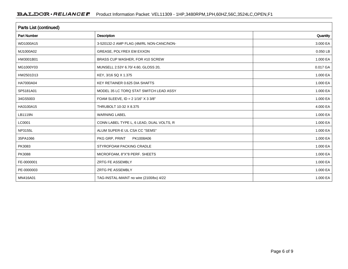| Parts List (continued) |                                          |          |  |  |
|------------------------|------------------------------------------|----------|--|--|
| <b>Part Number</b>     | Description                              | Quantity |  |  |
| WD1000A15              | 3-520132-2 AMP FLAG (4M/RL NON-CANC/NON- | 3.000 EA |  |  |
| MJ1000A02              | <b>GREASE, POLYREX EM EXXON</b>          | 0.050 LB |  |  |
| HW3001B01              | BRASS CUP WASHER, FOR #10 SCREW          | 1.000 EA |  |  |
| MG1000Y03              | MUNSELL 2.53Y 6.70/ 4.60, GLOSS 20,      | 0.017 GA |  |  |
| HW2501D13              | KEY, 3/16 SQ X 1.375                     | 1.000 EA |  |  |
| HA7000A04              | KEY RETAINER 0.625 DIA SHAFTS            | 1.000 EA |  |  |
| SP5181A01              | MODEL 35 LC TORQ STAT SWITCH LEAD ASSY   | 1.000 EA |  |  |
| 34GS5003               | FOAM SLEEVE, ID = 2 1/16" X 3 3/8"       | 1.000 EA |  |  |
| HA3100A15              | THRUBOLT 10-32 X 8.375                   | 4.000 EA |  |  |
| LB1119N                | <b>WARNING LABEL</b>                     | 1.000 EA |  |  |
| LC0001                 | CONN LABEL TYPE L, 6 LEAD, DUAL VOLTS, R | 1.000 EA |  |  |
| NP3155L                | ALUM SUPER-E UL CSA CC "SEMS"            | 1.000 EA |  |  |
| 35PA1066               | PKG GRP, PRINT<br>PK1008A06              | 1.000 EA |  |  |
| PK3083                 | STYROFOAM PACKING CRADLE                 | 1.000 EA |  |  |
| PK3088                 | MICROFOAM, 8"X"8 PERF. SHEETS            | 1.000 EA |  |  |
| FE-0000001             | ZRTG FE ASSEMBLY                         | 1.000 EA |  |  |
| PE-0000003             | ZRTG PE ASSEMBLY                         | 1.000 EA |  |  |
| MN416A01               | TAG-INSTAL-MAINT no wire (2100/bx) 4/22  | 1.000 EA |  |  |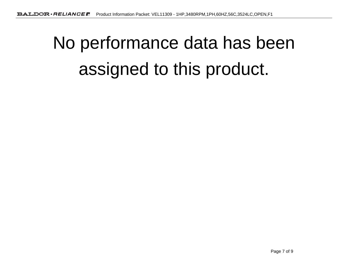# No performance data has beenassigned to this product.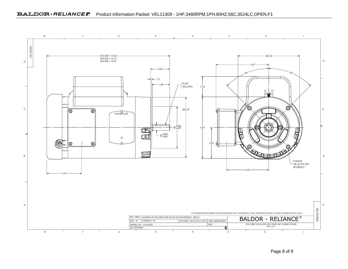#### BALDOR · RELIANCE **R** Product Information Packet: VEL11309 - 1HP,3480RPM,1PH,60HZ,56C,3524LC,OPEN,F1